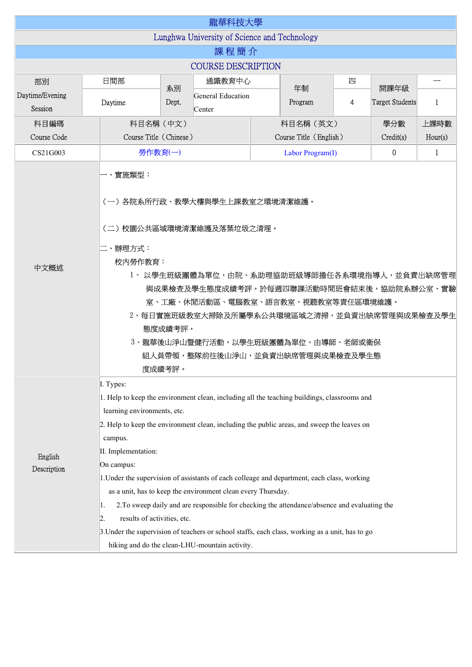|                                              |                                                                        |                                                                                                                                                                                                                                                                                                                                                                                                                                                                                                                                                                                                                                                                             | 龍華科技大學                      |  |                                                |   |                                |              |  |  |  |
|----------------------------------------------|------------------------------------------------------------------------|-----------------------------------------------------------------------------------------------------------------------------------------------------------------------------------------------------------------------------------------------------------------------------------------------------------------------------------------------------------------------------------------------------------------------------------------------------------------------------------------------------------------------------------------------------------------------------------------------------------------------------------------------------------------------------|-----------------------------|--|------------------------------------------------|---|--------------------------------|--------------|--|--|--|
| Lunghwa University of Science and Technology |                                                                        |                                                                                                                                                                                                                                                                                                                                                                                                                                                                                                                                                                                                                                                                             |                             |  |                                                |   |                                |              |  |  |  |
| 課程簡介                                         |                                                                        |                                                                                                                                                                                                                                                                                                                                                                                                                                                                                                                                                                                                                                                                             |                             |  |                                                |   |                                |              |  |  |  |
| <b>COURSE DESCRIPTION</b>                    |                                                                        |                                                                                                                                                                                                                                                                                                                                                                                                                                                                                                                                                                                                                                                                             |                             |  |                                                |   |                                |              |  |  |  |
| 部別                                           | 日間部                                                                    | 通識教育中心                                                                                                                                                                                                                                                                                                                                                                                                                                                                                                                                                                                                                                                                      |                             |  |                                                | 四 |                                |              |  |  |  |
| Daytime/Evening<br>Session                   | Daytime                                                                | 系別<br>Dept.                                                                                                                                                                                                                                                                                                                                                                                                                                                                                                                                                                                                                                                                 | General Education<br>Center |  | 年制<br>Program                                  | 4 | 開課年級<br><b>Target Students</b> | $\mathbf{1}$ |  |  |  |
| 科目編碼                                         | 科目名稱 (中文)                                                              |                                                                                                                                                                                                                                                                                                                                                                                                                                                                                                                                                                                                                                                                             |                             |  | 科目名稱 (英文)                                      |   | 學分數                            | 上課時數         |  |  |  |
| Course Code                                  |                                                                        | Course Title (Chinese)                                                                                                                                                                                                                                                                                                                                                                                                                                                                                                                                                                                                                                                      |                             |  | Course Title (English)<br>Credit(s)<br>Hour(s) |   |                                |              |  |  |  |
| CS21G003                                     |                                                                        | 勞作教育(一)                                                                                                                                                                                                                                                                                                                                                                                                                                                                                                                                                                                                                                                                     |                             |  | 0<br>$\mathbf{1}$<br>Labor Program(I)          |   |                                |              |  |  |  |
| 中文概述                                         | -、實施類型:<br>二、辦理方式:<br>度成績考評。                                           | (一)各院系所行政、教學大樓與學生上課教室之環境清潔維護。<br>(二)校園公共區域環境清潔維護及落葉垃圾之清理。<br>校内勞作教育:<br>1、以學生班級團體為單位,由院、系助理協助班級導師擔任各系環境指導人,並負責出缺席管理<br>與成果檢查及學生態度成績考評。於每週四聯課活動時間班會結束後,協助院系辦公室、實驗<br>室、工廠、休閒活動區、電腦教室、語言教室、視聽教室等責任區環境維護。<br>2、每日實施班級教室大掃除及所屬學系公共環境區域之清掃,並負責出缺席管理與成果檢查及學生<br>態度成績考評。<br>3、龍華後山淨山暨健行活動,以學生班級團體為單位,由導師、老師或衛保<br>組人員帶領,整隊前往後山淨山,並負責出缺席管理與成果檢查及學生態                                                                                                                                                                                                                                                                                                                                 |                             |  |                                                |   |                                |              |  |  |  |
| English<br>Description                       | I. Types:<br>campus.<br>II. Implementation:<br>On campus:<br>1.<br>12. | 1. Help to keep the environment clean, including all the teaching buildings, classrooms and<br>learning environments, etc.<br>2. Help to keep the environment clean, including the public areas, and sweep the leaves on<br>1. Under the supervision of assistants of each colleage and department, each class, working<br>as a unit, has to keep the environment clean every Thursday.<br>2. To sweep daily and are responsible for checking the attendance/absence and evaluating the<br>results of activities, etc.<br>3. Under the supervision of teachers or school staffs, each class, working as a unit, has to go<br>hiking and do the clean-LHU-mountain activity. |                             |  |                                                |   |                                |              |  |  |  |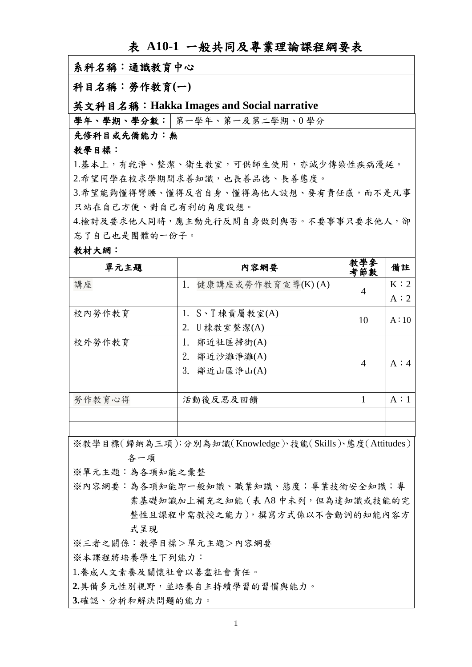| 衣 A1U-1 一般共问及寺耒珏黼訸衽硎妾衣                    |                         |            |     |  |  |  |  |  |
|-------------------------------------------|-------------------------|------------|-----|--|--|--|--|--|
| 系科名稱:通識教育中心                               |                         |            |     |  |  |  |  |  |
| 科目名稱:勞作教育(一)                              |                         |            |     |  |  |  |  |  |
| 英文科目名稱: Hakka Images and Social narrative |                         |            |     |  |  |  |  |  |
| 學年、學期、學分數: 第一學年、第一及第二學期、0學分               |                         |            |     |  |  |  |  |  |
| 先修科目或先備能力:無                               |                         |            |     |  |  |  |  |  |
| 教學目標:                                     |                         |            |     |  |  |  |  |  |
| 1.基本上,有乾淨、整潔、衛生教室,可供師生使用,亦減少傳染性疾病漫延。      |                         |            |     |  |  |  |  |  |
| 2.希望同學在校求學期間求善知識,也長善品德、長善態度。              |                         |            |     |  |  |  |  |  |
| 3.希望能夠懂得彎腰、懂得反省自身、懂得為他人設想、要有責任感,而不是凡事     |                         |            |     |  |  |  |  |  |
| 只站在自己方便、對自己有利的角度設想。                       |                         |            |     |  |  |  |  |  |
| 4.檢討及要求他人同時,應主動先行反問自身做到與否。不要事事只要求他人,卻     |                         |            |     |  |  |  |  |  |
| 忘了自己也是團體的一份子。                             |                         |            |     |  |  |  |  |  |
| 教材大網:                                     |                         |            |     |  |  |  |  |  |
| 單元主題                                      | 内容網要                    | 教學參<br>考節數 | 備註  |  |  |  |  |  |
| 講座                                        | 健康講座或勞作教育宣導(K)(A)<br>1. | 4          | K:2 |  |  |  |  |  |
|                                           |                         |            | A:2 |  |  |  |  |  |

**A10-1 机止口な事业和み人細ね細語** 

※教學目標(歸納為三項):分別為知識(Knowledge)、技能(Skills)、態度(Attitudes) 各一

勞作教育心得 | 活動後反思及回饋 | | | | | A:1

2. U 棟教室整潔(A)

2. 鄰近沙灘淨灘(A) 3. 鄰近山區淨山(A)

 $10 \text{ A}: 10$ 

 $4 \mid A:4$ 

※單元主題:為各知能之彙整

- ※內容網要:為各項知能即一般知識、職業知識、熊度;專業技術安全知識;專 業基礎知識加上補充之知能 (表 A8 中未列, 但為達知識或技能的完 整性且課程中需教授之能力),撰寫方式係以不含動詞的知能內容方 式呈現
- ※三者之關係:教學目標>單元主題>內容網要

校內勞作教育  $1. S \cdot T$ 棟責屬教室(A)

校外勞作教育 |1. 鄰近社區掃街(A)

※本課程將培養學生下列能力:

1.養成人文素養及關懷社會以善盡社會責任。

**2.**具備多元性別視野,並培養自主持續學習的習慣與能力Ƕ

3.確認、分析和解決問題的能力。